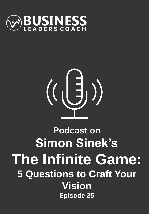

# $\left(\left(\begin{matrix} \frac{1}{2} \end{matrix}\right) \right)$

# **Podcast on Simon Sinek's The Infinite Game: 5 Questions to Craft Your Vision Episode 25**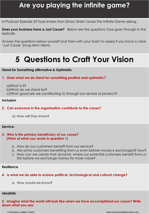# **Are you playing the infinite game?**

In Podcast Episode 25 Toye shares from Simon Sinek's book The Infinite Game asking;

**Does your business have a Just Cause?** Below are the questions Toye goes through in the episode.

Answer the questions below yourself and then with your team to assess if you have a clear 'Just Cause' (long-term vision).

# **5 Questions to Craft Your Vision**

### **Stand for Something affirmative & Optimistic**

### **1. Does what we do stand for something positive and optimistic?**

a)What is it? b)What do we stand for? c)What good are we contributing to through our service or product?

### **Inclusion**

### **2. Can everyone in the organisation contribute to this cause?**

a) How will they know?

### **Service:**

### **3. Who is the primary beneficiary of our cause? (Think of what you wrote in question 1)**

- a. How do our customers benefit from our service?
- b. Are some customers benefiting from us even before money is exchanged? How?
- c. How can we create that dynamic where our potential customers benefit from us first before we exchange money for more value?

### **Resilience**

### **4. Is what we do able to endure political, technological and cultural change?**

a. How would we know?

### **Idealistic**

**5. Imagine what the world will look like when we have accomplished our cause? Write down what you see.**